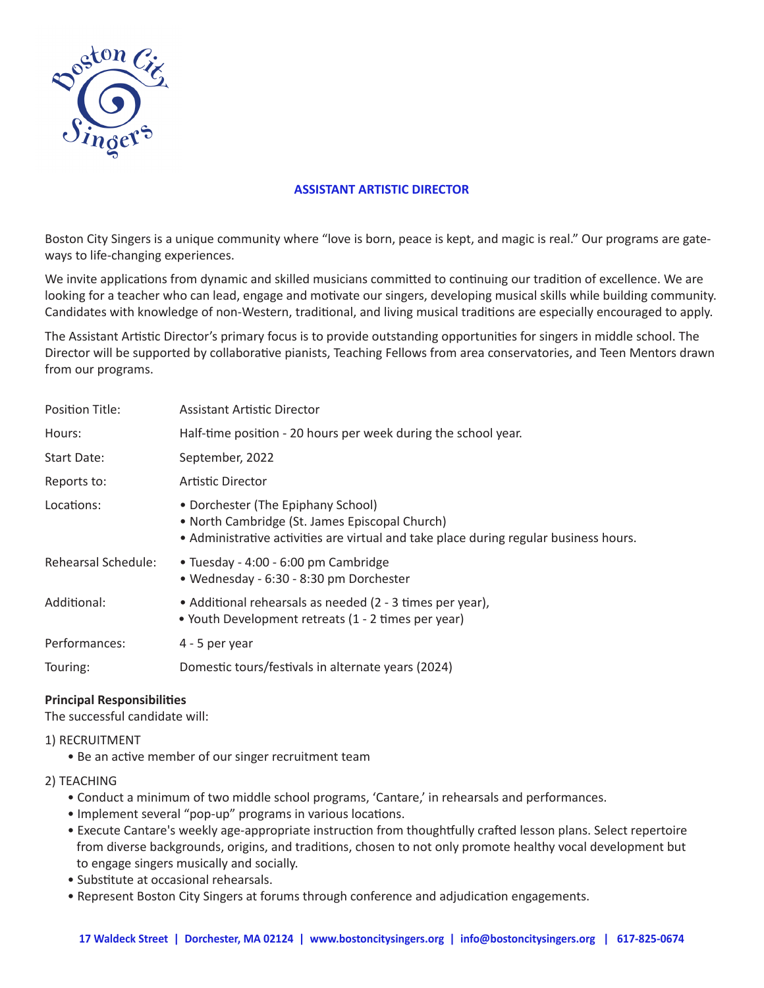

# **ASSISTANT ARTISTIC DIRECTOR**

Boston City Singers is a unique community where "love is born, peace is kept, and magic is real." Our programs are gateways to life-changing experiences.

We invite applications from dynamic and skilled musicians committed to continuing our tradition of excellence. We are looking for a teacher who can lead, engage and motivate our singers, developing musical skills while building community. Candidates with knowledge of non-Western, traditional, and living musical traditions are especially encouraged to apply.

The Assistant Artistic Director's primary focus is to provide outstanding opportunities for singers in middle school. The Director will be supported by collaborative pianists, Teaching Fellows from area conservatories, and Teen Mentors drawn from our programs.

| Position Title:     | <b>Assistant Artistic Director</b>                                                                                                                                            |
|---------------------|-------------------------------------------------------------------------------------------------------------------------------------------------------------------------------|
| Hours:              | Half-time position - 20 hours per week during the school year.                                                                                                                |
| Start Date:         | September, 2022                                                                                                                                                               |
| Reports to:         | Artistic Director                                                                                                                                                             |
| Locations:          | • Dorchester (The Epiphany School)<br>• North Cambridge (St. James Episcopal Church)<br>• Administrative activities are virtual and take place during regular business hours. |
| Rehearsal Schedule: | • Tuesday - 4:00 - 6:00 pm Cambridge<br>• Wednesday - 6:30 - 8:30 pm Dorchester                                                                                               |
| Additional:         | • Additional rehearsals as needed (2 - 3 times per year),<br>• Youth Development retreats (1 - 2 times per year)                                                              |
| Performances:       | 4 - 5 per year                                                                                                                                                                |
| Touring:            | Domestic tours/festivals in alternate years (2024)                                                                                                                            |

# **Principal Responsibilities**

The successful candidate will:

### 1) RECRUITMENT

- Be an active member of our singer recruitment team
- 2) TEACHING
	- Conduct a minimum of two middle school programs, 'Cantare,' in rehearsals and performances.
	- Implement several "pop-up" programs in various locations.
	- Execute Cantare's weekly age-appropriate instruction from thoughtfully crafted lesson plans. Select repertoire from diverse backgrounds, origins, and traditions, chosen to not only promote healthy vocal development but to engage singers musically and socially.
	- Substitute at occasional rehearsals.
	- Represent Boston City Singers at forums through conference and adjudication engagements.